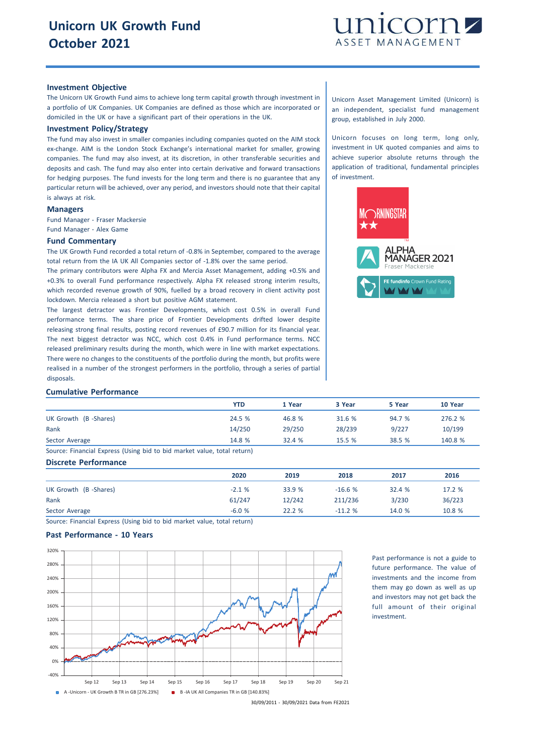

### **Investment Objective**

The Unicorn UK Growth Fund aims to achieve long term capital growth through investment in a portfolio of UK Companies. UK Companies are defined as those which are incorporated or domiciled in the UK or have a significant part of their operations in the UK.

# **Investment Policy/Strategy**

The fund may also invest in smaller companies including companies quoted on the AIM stock ex-change. AIM is the London Stock Exchange's international market for smaller, growing companies. The fund may also invest, at its discretion, in other transferable securities and deposits and cash. The fund may also enter into certain derivative and forward transactions for hedging purposes. The fund invests for the long term and there is no guarantee that any particular return will be achieved, over any period, and investors should note that their capital is always at risk.

# **Managers**

Fund Manager - Fraser Mackersie Fund Manager - Alex Game

#### **Fund Commentary**

The UK Growth Fund recorded a total return of -0.8% in September, compared to the average total return from the IA UK All Companies sector of -1.8% over the same period.

The primary contributors were Alpha FX and Mercia Asset Management, adding +0.5% and +0.3% to overall Fund performance respectively. Alpha FX released strong interim results, which recorded revenue growth of 90%, fuelled by a broad recovery in client activity post lockdown. Mercia released a short but positive AGM statement.

The largest detractor was Frontier Developments, which cost 0.5% in overall Fund performance terms. The share price of Frontier Developments drifted lower despite releasing strong final results, posting record revenues of £90.7 million for its financial year. The next biggest detractor was NCC, which cost 0.4% in Fund performance terms. NCC released preliminary results during the month, which were in line with market expectations. There were no changes to the constituents of the portfolio during the month, but profits were realised in a number of the strongest performers in the portfolio, through a series of partial disposals.

Unicorn Asset Management Limited (Unicorn) is an independent, specialist fund management group, established in July 2000.

Unicorn focuses on long term, long only, investment in UK quoted companies and aims to achieve superior absolute returns through the application of traditional, fundamental principles of investment.



#### **Cumulative Performance**

|                                                                         | YTD    | 1 Year | 3 Year | 5 Year | 10 Year |
|-------------------------------------------------------------------------|--------|--------|--------|--------|---------|
| UK Growth (B-Shares)                                                    | 24.5 % | 46.8 % | 31.6 % | 94.7 % | 276.2 % |
| Rank                                                                    | 14/250 | 29/250 | 28/239 | 9/227  | 10/199  |
| Sector Average                                                          | 14.8 % | 32.4%  | 15.5%  | 38.5 % | 140.8 % |
| Source: Financial Express (Using bid to bid market value, total return) |        |        |        |        |         |

## **Discrete Performance**

|                      | 2020    | 2019   | 2018     | 2017   | 2016   |
|----------------------|---------|--------|----------|--------|--------|
| UK Growth (B-Shares) | $-2.1%$ | 33.9 % | $-16.6%$ | 32.4 % | 17.2 % |
| Rank                 | 61/247  | 12/242 | 211/236  | 3/230  | 36/223 |
| Sector Average       | $-6.0%$ | 22.2%  | $-11.2%$ | 14.0 % | 10.8 % |

Source: Financial Express (Using bid to bid market value, total return)

# **Past Performance - 10 Years**



Past performance is not a guide to future performance. The value of investments and the income from them may go down as well as up and investors may not get back the full amount of their original investment.

30/09/2011 - 30/09/2021 Data from FE2021